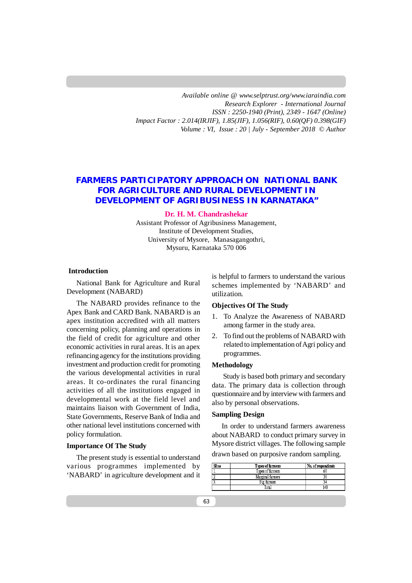*Available online @ [www.selptrust.org/www.iaraindia.com](http://www.selptrust.org/www.iaraindia.com) Research Explorer - International Journal ISSN : 2250-1940 (Print), 2349 - 1647 (Online) Impact Factor : 2.014(IRJIF), 1.85(JIF), 1.056(RIF), 0.60(QF) 0.398(GIF) Volume : VI, Issue : 20 | July - September 2018* © *Author*

# **FARMERS PARTICIPATORY APPROACH ON NATIONAL BANK FOR AGRICULTURE AND RURAL DEVELOPMENT IN DEVELOPMENT OF AGRIBUSINESS IN KARNATAKA"**

**Dr. H. M. Chandrashekar**

Assistant Professor of Agribusiness Management, Institute of Development Studies, University of Mysore, Manasagangothri, Mysuru, Karnataka 570 006

# **Introduction**

National Bank for Agriculture and Rural Development (NABARD)

The NABARD provides refinance to the Apex Bank and CARD Bank. NABARD is an apex institution accredited with all matters concerning policy, planning and operations in the field of credit for agriculture and other economic activities in rural areas. It is an apex refinancing agency for the institutions providing investment and production credit for promoting the various developmental activities in rural areas. It co-ordinates the rural financing activities of all the institutions engaged in developmental work at the field level and maintains liaison with Government of India, State Governments, Reserve Bank of India and other national level institutions concerned with policy formulation.

## **Importance Of The Study**

The present study is essential to understand various programmes implemented by 'NABARD' in agriculture development and it is helpful to farmers to understand the various schemes implemented by 'NABARD' and utilization.

# **Objectives Of The Study**

- 1. To Analyze the Awareness of NABARD among farmer in the study area.
- 2. To find out the problems of NABARD with related to implementation of Agri policy and programmes.

## **Methodology**

 Study is based both primary and secondary data. The primary data is collection through questionnaire and by interview with farmers and also by personal observations.

## **Sampling Design**

In order to understand farmers awareness about NABARD to conduct primary survey in Mysore district villages. The following sample drawn based on purposive random sampling.

| S1n0 | <b>Types of farmers</b> | No. of respondents |
|------|-------------------------|--------------------|
|      | Types of farmers        | 68                 |
| 4.   | Marginal farmers        |                    |
|      | Big farmers             |                    |
|      | Total                   | 140                |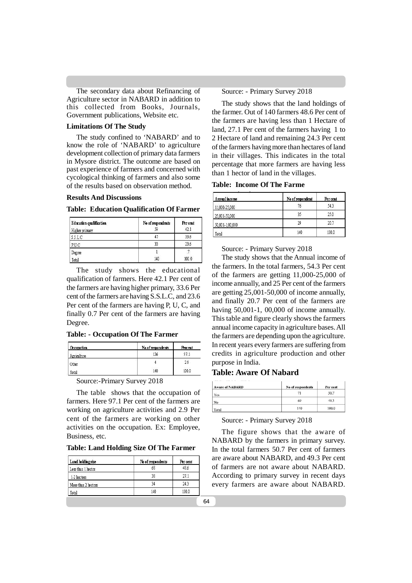The secondary data about Refinancing of Agriculture sector in NABARD in addition to this collected from Books, Journals, Government publications, Website etc.

# **Limitations Of The Study**

The study confined to 'NABARD' and to know the role of 'NABARD' to agriculture development collection of primary data farmers in Mysore district. The outcome are based on past experience of farmers and concerned with cycological thinking of farmers and also some of the results based on observation method.

## **Results And Discussions**

### **Table: Education Qualification Of Farmer**

| Education qualification | No of respondents | Per cent |
|-------------------------|-------------------|----------|
| Higher primary          |                   | 42.1     |
| SSLC                    | 4                 | 33.6     |
| P.U.C                   | 33                | 236      |
| Degree                  |                   |          |
| Total                   | 140               | 100.0    |

The study shows the educational qualification of farmers. Here 42.1 Per cent of the farmers are having higher primary, 33.6 Per cent of the farmers are having S.S.L.C, and 23.6 Per cent of the farmers are having P, U, C, and finally 0.7 Per cent of the farmers are having Degree.

## **Table: - Occupation Of The Farmer**

| Occupation  | No of respondents | Percent |
|-------------|-------------------|---------|
| Agriculture | 136               | 97.1    |
| Other       |                   | 29      |
| Total       | 140               | 100.0   |

Source:-Primary Survey 2018

The table shows that the occupation of farmers. Here 97.1 Per cent of the farmers are working on agriculture activities and 2.9 Per cent of the farmers are working on other activities on the occupation. Ex: Employee, Business, etc.

**Table: Land Holding Size Of The Farmer**

| Land holding size   | No of respondents | Per cent |
|---------------------|-------------------|----------|
| Less than 1 hector  | 68                | 48.6     |
| 1-2 hectors         | 38                | 27.1     |
| More than 2 hectors | 34                | 24.3     |
| Total               | 140               | 100.0    |

Source: - Primary Survey 2018

The study shows that the land holdings of the farmer. Out of 140 farmers 48.6 Per cent of the farmers are having less than 1 Hectare of land, 27.1 Per cent of the farmers having 1 to 2 Hectare of land and remaining 24.3 Per cent of the farmers having more than hectares of land in their villages. This indicates in the total percentage that more farmers are having less than 1 hector of land in the villages.

**Table: Income Of The Farme**

| Annual income   | No of respondent | <b>Per cent</b> |
|-----------------|------------------|-----------------|
| 11,000-25,000   | 76               | 54.3            |
| 25,001-50,000   | 35               | 25.0            |
| 50,001-1,00,000 | 29               | 20.7            |
| Total           | 140              | 100.0           |

### Source: - Primary Survey 2018

The study shows that the Annual income of the farmers. In the total farmers, 54.3 Per cent of the farmers are getting 11,000-25,000 of income annually, and 25 Per cent of the farmers are getting 25,001-50,000 of income annually, and finally 20.7 Per cent of the farmers are having 50,001-1, 00,000 of income annually. This table and figure clearly shows the farmers annual income capacity in agriculture bases. All the farmers are depending upon the agriculture. In recent years every farmers are suffering from credits in agriculture production and other purpose in India.

## **Table: Aware Of Nabard**

| <b>Aware of NABARD</b> | No of respondents | Per cent |
|------------------------|-------------------|----------|
| Yes                    | 71                | 50.7     |
| No                     | 69                | 49.3     |
| Total                  | 140               | 100.0    |

## Source: - Primary Survey 2018

The figure shows that the aware of NABARD by the farmers in primary survey. In the total farmers 50.7 Per cent of farmers are aware about NABARD, and 49.3 Per cent of farmers are not aware about NABARD. According to primary survey in recent days every farmers are aware about NABARD.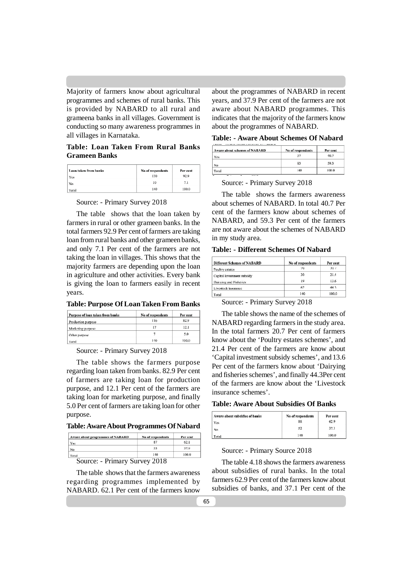Majority of farmers know about agricultural programmes and schemes of rural banks. This is provided by NABARD to all rural and grameena banks in all villages. Government is conducting so many awareness programmes in all villages in Karnataka.

# **Table: Loan Taken From Rural Banks Grameen Banks**

| Loan taken from banks | No of respondents | Per cent |
|-----------------------|-------------------|----------|
| Ycs                   | 130               | 92.9     |
| No                    | 10                | 7.1      |
| Total                 | 140               | 100.0    |

Source: - Primary Survey 2018

The table shows that the loan taken by farmers in rural or other grameen banks. In the total farmers 92.9 Per cent of farmers are taking loan from rural banks and other grameen banks, and only 7.1 Per cent of the farmers are not taking the loan in villages. This shows that the majority farmers are depending upon the loan in agriculture and other activities. Every bank is giving the loan to farmers easily in recent years.

**Table: Purpose Of Loan Taken From Banks**

| Purpose of loan taken from banks | No of respondents | Per cent |
|----------------------------------|-------------------|----------|
| Production purpose               | 116               | 82.9     |
| Marketing purpose                | 17                | 12.1     |
| Other purpose                    |                   | 5.0      |
| Total                            | 140               | 100.0    |

Source: - Primary Survey 2018

The table shows the farmers purpose regarding loan taken from banks. 82.9 Per cent of farmers are taking loan for production purpose, and 12.1 Per cent of the farmers are taking loan for marketing purpose, and finally 5.0 Per cent of farmers are taking loan for other purpose.

**Table: Aware About Programmes Of Nabard**

| Aware about programmes of NABARD | No of respondents | Per cent |
|----------------------------------|-------------------|----------|
| Yes                              | 87                | 62.1     |
| No                               | 53                | 37.9     |
| Total                            | 140               | 100.0    |

Source: - Primary Survey 2018

The table shows that the farmers awareness regarding programmes implemented by NABARD. 62.1 Per cent of the farmers know

about the programmes of NABARD in recent years, and 37.9 Per cent of the farmers are not aware about NABARD programmes. This indicates that the majority of the farmers know about the programmes of NABARD.

**Table: - Aware About Schemes Of Nabard**

| Aware about schemes of NABARD | No of respondents | Per cent |
|-------------------------------|-------------------|----------|
| Yes                           | 57                | 40.7     |
| No                            | 83                | 59.3     |
| Total                         | 140               | 100.0    |

Source: - Primary Survey 2018

The table shows the farmers awareness about schemes of NABARD. In total 40.7 Per cent of the farmers know about schemes of NABARD, and 59.3 Per cent of the farmers are not aware about the schemes of NABARD in my study area.

**Table: - Different Schemes Of Nabard**

| <b>Different Schemes of NABARD</b> | No of respondents | Per cent |
|------------------------------------|-------------------|----------|
| Poultry estates                    | 29                | 20.7     |
| Capital investment subsidy         | 30                | 21.4     |
| Dairying and Fisheries             | 19                | 13.6     |
| Livestock insurance                | 62                | 443      |
| Total                              | 140               | 100.0    |

Source: - Primary Survey 2018

The table shows the name of the schemes of NABARD regarding farmers in the study area. In the total farmers 20.7 Per cent of farmers know about the 'Poultry estates schemes', and 21.4 Per cent of the farmers are know about 'Capital investment subsidy schemes', and 13.6 Per cent of the farmers know about 'Dairying and fisheries schemes', and finally 44.3Per cent of the farmers are know about the 'Livestock insurance schemes'.

| Aware about subsidies of banks | No of respondents | Per cent |
|--------------------------------|-------------------|----------|
| Yes                            | 88                | 62.9     |
| No                             | 52                | 37.1     |
| Total                          | 140               | 100.0    |

Source: - Primary Source 2018

The table 4.18 shows the farmers awareness about subsidies of rural banks. In the total farmers 62.9 Per cent of the farmers know about subsidies of banks, and 37.1 Per cent of the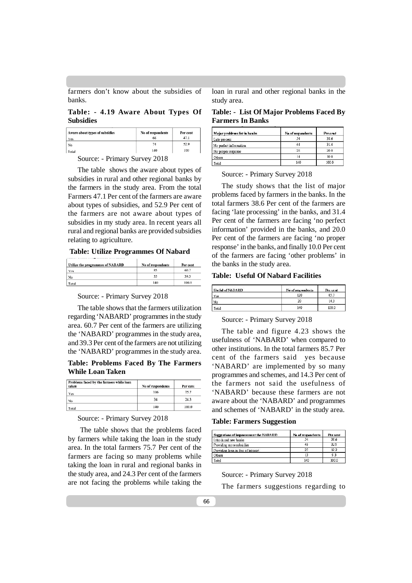farmers don't know about the subsidies of banks.

# **Table: - 4.19 Aware About Types Of Subsidies**

| Aware about types of subsidies | No of respondents | Per cent |
|--------------------------------|-------------------|----------|
| Yes                            | 66                | 47.1     |
| No                             | 74                | 52.9     |
| Total                          | 140               | 100      |

Source: - Primary Survey 2018

The table shows the aware about types of subsidies in rural and other regional banks by the farmers in the study area. From the total Farmers 47.1 Per cent of the farmers are aware about types of subsidies, and 52.9 Per cent of the farmers are not aware about types of subsidies in my study area. In recent years all rural and regional banks are provided subsidies relating to agriculture.

## **Table: Utilize Programmes Of Nabard**

| Utilize the programmes of NABARD | No of respondents | Per cent |
|----------------------------------|-------------------|----------|
| Yes                              | 85                | 60.7     |
| No                               | 55                | 39.3     |
| Total                            | 140               | 100.0    |

Source: - Primary Survey 2018

The table shows that the farmers utilization regarding 'NABARD' programmes in the study area. 60.7 Per cent of the farmers are utilizing the 'NABARD' programmes in the study area, and 39.3 Per cent of the farmers are not utilizing the 'NABARD' programmes in the study area.

# **Table: Problems Faced By The Farmers While Loan Taken**

| Problems faced by the farmers while loan<br>taken | No of respondents | Per cent |
|---------------------------------------------------|-------------------|----------|
| Yes                                               | 106               | 75.7     |
| No                                                | 34                | 24.3     |
| Total                                             | 140               | 100.0    |

## Source: - Primary Survey 2018

 The table shows that the problems faced by farmers while taking the loan in the study area. In the total farmers 75.7 Per cent of the farmers are facing so many problems while taking the loan in rural and regional banks in the study area, and 24.3 Per cent of the farmers are not facing the problems while taking the loan in rural and other regional banks in the study area.

**Table: - List Of Major Problems Faced By Farmers In Banks**

| Major problems list in banks | No of respondents | Per cent |
|------------------------------|-------------------|----------|
| Late process                 | 54                | 38.6     |
| No perfect information       | 44                | 31.4     |
| No proper response           | 28                | 20.0     |
| Others                       | 14                | 10.0     |
| Total                        | 140               | 100.0    |

Source: - Primary Survey 2018

The study shows that the list of major problems faced by farmers in the banks. In the total farmers 38.6 Per cent of the farmers are facing 'late processing' in the banks, and 31.4 Per cent of the farmers are facing 'no perfect information' provided in the banks, and 20.0 Per cent of the farmers are facing 'no proper response' in the banks, and finally 10.0 Per cent of the farmers are facing 'other problems' in the banks in the study area.

#### **Table: Useful Of Nabard Facilities**

| <b>Useful of NABARD</b> | No of respondents | Per cent |
|-------------------------|-------------------|----------|
| Yes                     | 120               | 85.7     |
| No                      | 20                | 14.3     |
| Total                   | 140               | 100.0    |

## Source: - Primary Survey 2018

The table and figure 4.23 shows the usefulness of 'NABARD' when compared to other institutions. In the total farmers 85.7 Per cent of the farmers said yes because 'NABARD' are implemented by so many programmes and schemes, and 14.3 Per cent of the farmers not said the usefulness of 'NABARD' because these farmers are not aware about the 'NABARD' and programmes and schemes of 'NABARD' in the study area.

### **Table: Farmers Suggestion**

| Suggestions of improvement the NABARD | No of respondents | <b>Per cent</b> |
|---------------------------------------|-------------------|-----------------|
| Introduced new banks                  |                   | 38.6            |
| Providing more subsidies              | 46                | 32.9            |
| Providing loan in fice of interest    | 27                | 19.3            |
| Others                                |                   | 93              |
| Total                                 | 140               | 100.0           |

Source: - Primary Survey 2018

The farmers suggestions regarding to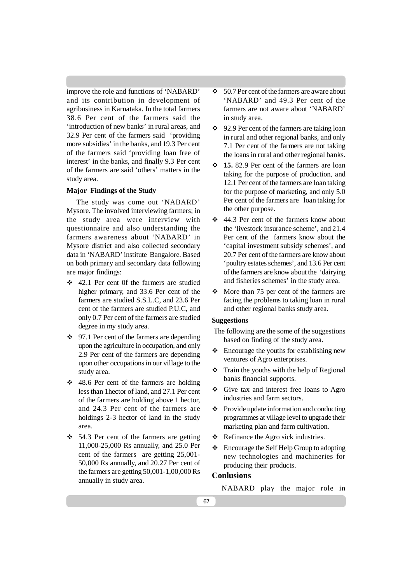improve the role and functions of 'NABARD' and its contribution in development of agribusiness in Karnataka. In the total farmers 38.6 Per cent of the farmers said the 'introduction of new banks' in rural areas, and 32.9 Per cent of the farmers said 'providing more subsidies' in the banks, and 19.3 Per cent of the farmers said 'providing loan free of interest' in the banks, and finally 9.3 Per cent of the farmers are said 'others' matters in the study area.

## **Major Findings of the Study**

The study was come out 'NABARD' Mysore. The involved interviewing farmers; in the study area were interview with questionnaire and also understanding the farmers awareness about 'NABARD' in Mysore district and also collected secondary data in 'NABARD' institute Bangalore. Based on both primary and secondary data following are major findings:

- 42.1 Per cent 0f the farmers are studied higher primary, and 33.6 Per cent of the farmers are studied S.S.L.C, and 23.6 Per cent of the farmers are studied P.U.C, and only 0.7 Per cent of the farmers are studied degree in my study area.
- $\div$  97.1 Per cent of the farmers are depending upon the agriculture in occupation, and only 2.9 Per cent of the farmers are depending upon other occupations in our village to the study area.
- $\div$  48.6 Per cent of the farmers are holding less than 1hector of land, and 27.1 Per cent of the farmers are holding above 1 hector, and 24.3 Per cent of the farmers are holdings 2-3 hector of land in the study area.
- $\div$  54.3 Per cent of the farmers are getting 11,000-25,000 Rs annually, and 25.0 Per cent of the farmers are getting 25,001- 50,000 Rs annually, and 20.27 Per cent of the farmers are getting 50,001-1,00,000 Rs annually in study area.
- $\div$  50.7 Per cent of the farmers are aware about 'NABARD' and 49.3 Per cent of the farmers are not aware about 'NABARD' in study area.
- $\div$  92.9 Per cent of the farmers are taking loan in rural and other regional banks, and only 7.1 Per cent of the farmers are not taking the loans in rural and other regional banks.
- **15.** 82.9 Per cent of the farmers are loan taking for the purpose of production, and 12.1 Per cent of the farmers are loan taking for the purpose of marketing, and only 5.0 Per cent of the farmers are loan taking for the other purpose.
- 44.3 Per cent of the farmers know about the 'livestock insurance scheme', and 21.4 Per cent of the farmers know about the 'capital investment subsidy schemes', and 20.7 Per cent of the farmers are know about 'poultry estates schemes', and 13.6 Per cent of the farmers are know about the 'dairying and fisheries schemes' in the study area.
- $\div$  More than 75 per cent of the farmers are facing the problems to taking loan in rural and other regional banks study area.

## **Suggestions**

- The following are the some of the suggestions based on finding of the study area.
- $\triangle$  Encourage the youths for establishing new ventures of Agro enterprises.
- $\div$  Train the youths with the help of Regional banks financial supports.
- Give tax and interest free loans to Agro industries and farm sectors.
- $\div$  Provide update information and conducting programmes at village level to upgrade their marketing plan and farm cultivation.
- $\div$  Refinance the Agro sick industries.
- Encourage the Self Help Group to adopting new technologies and machineries for producing their products.

# **Conlusions**

NABARD play the major role in